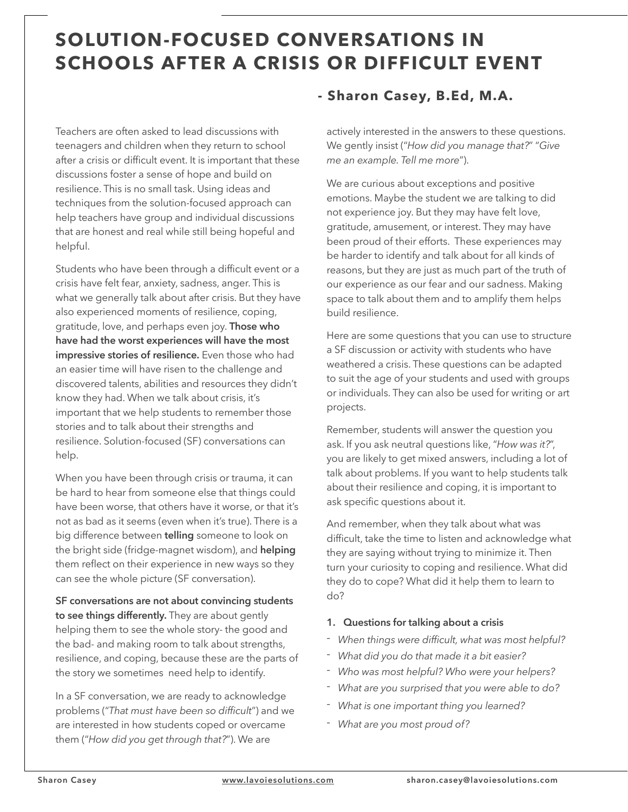# **SOLUTION-FOCUSED CONVERSATIONS IN SCHOOLS AFTER A CRISIS OR DIFFICULT EVENT**

Teachers are often asked to lead discussions with teenagers and children when they return to school after a crisis or difficult event. It is important that these discussions foster a sense of hope and build on resilience. This is no small task. Using ideas and techniques from the solution-focused approach can help teachers have group and individual discussions that are honest and real while still being hopeful and helpful.

Students who have been through a difficult event or a crisis have felt fear, anxiety, sadness, anger. This is what we generally talk about after crisis. But they have also experienced moments of resilience, coping, gratitude, love, and perhaps even joy. **Those who have had the worst experiences will have the most impressive stories of resilience.** Even those who had an easier time will have risen to the challenge and discovered talents, abilities and resources they didn't know they had. When we talk about crisis, it's important that we help students to remember those stories and to talk about their strengths and resilience. Solution-focused (SF) conversations can help.

When you have been through crisis or trauma, it can be hard to hear from someone else that things could have been worse, that others have it worse, or that it's not as bad as it seems (even when it's true). There is a big difference between **telling** someone to look on the bright side (fridge-magnet wisdom), and **helping** them reflect on their experience in new ways so they can see the whole picture (SF conversation).

**SF conversations are not about convincing students to see things differently.** They are about gently helping them to see the whole story- the good and the bad- and making room to talk about strengths, resilience, and coping, because these are the parts of the story we sometimes need help to identify.

In a SF conversation, we are ready to acknowledge problems ("*That must have been so difficult*") and we are interested in how students coped or overcame them ("*How did you get through that?*"). We are

### **- Sharon Casey, B.Ed, M.A.**

actively interested in the answers to these questions. We gently insist ("*How did you manage that?*" "*Give me an example. Tell me more*").

We are curious about exceptions and positive emotions. Maybe the student we are talking to did not experience joy. But they may have felt love, gratitude, amusement, or interest. They may have been proud of their efforts. These experiences may be harder to identify and talk about for all kinds of reasons, but they are just as much part of the truth of our experience as our fear and our sadness. Making space to talk about them and to amplify them helps build resilience.

Here are some questions that you can use to structure a SF discussion or activity with students who have weathered a crisis. These questions can be adapted to suit the age of your students and used with groups or individuals. They can also be used for writing or art projects.

Remember, students will answer the question you ask. If you ask neutral questions like, "*How was it?*", you are likely to get mixed answers, including a lot of talk about problems. If you want to help students talk about their resilience and coping, it is important to ask specific questions about it.

And remember, when they talk about what was difficult, take the time to listen and acknowledge what they are saying without trying to minimize it. Then turn your curiosity to coping and resilience. What did they do to cope? What did it help them to learn to do?

### **1. Questions for talking about a crisis**

- *- When things were difficult, what was most helpful?*
- *- What did you do that made it a bit easier?*
- *- Who was most helpful? Who were your helpers?*
- *- What are you surprised that you were able to do?*
- *- What is one important thing you learned?*
- *- What are you most proud of?*